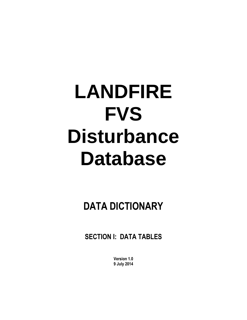# **LANDFIRE FVS Disturbance Database**

**DATA DICTIONARY**

**SECTION I: DATA TABLES**

**Version 1.0 9 July 2014**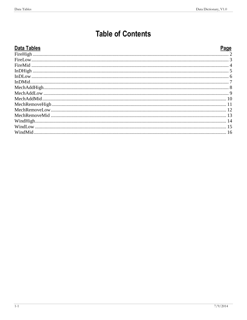# **Table of Contents**

| <b>Data Tables</b> | Page |
|--------------------|------|
|                    |      |
|                    |      |
|                    |      |
|                    |      |
|                    |      |
|                    |      |
|                    |      |
|                    |      |
|                    |      |
|                    |      |
|                    |      |
|                    |      |
|                    |      |
|                    |      |
|                    |      |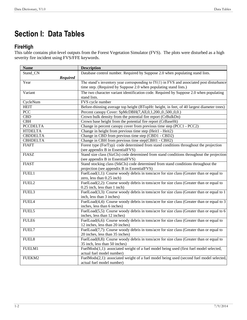# **Section I: Data Tables**

## <span id="page-3-0"></span>**FireHigh**

This table contains plot-level outputs from the Forest Vegetation Simulator (FVS). The plots were disturbed as a high severity fire incident using FVS/FFE keywords.

| <b>Name</b>       | <b>Description</b>                                                                         |
|-------------------|--------------------------------------------------------------------------------------------|
| Stand CN          | Database control number. Required by Suppose 2.0 when populating stand lists.              |
| <b>Required</b>   |                                                                                            |
| Year              | The stand's inventory year corresponding to $IY(1)$ in FVS and associated post disturbance |
|                   | time step. (Required by Suppose 2.0 when populating stand lists.)                          |
| Variant           | The two character variant identification code. Required by Suppose 2.0 when populating     |
|                   | stand lists.                                                                               |
| CycleNum          | FVS cycle number                                                                           |
| <b>HEIT</b>       | Before-thinning average top height (BTopHt: height, in feet, of 40 largest diameter trees) |
| PCC               | Percent canopy Cover: SpMcDBH(7,All,0,1,200.,0.,500.,0,0.)                                 |
| <b>CBD</b>        | Crown bulk density from the potential fire report (CrBulkDn)                               |
| CBH               | Crown base height from the potential fire report (CrBaseHt)                                |
| <b>PCCDELTA</b>   | Change in percent canopy cover from previous time step (PCC1 - PCC2)                       |
| <b>HTDELTA</b>    | Change in height from previous time step (Heit1 - Heit2)                                   |
| <b>CBDDELTA</b>   | Change in CBD from previous time step (CBD1 - CBD2)                                        |
| <b>CBHDELTA</b>   | Change in CBH from previous time step(CBH1 - CBH2)                                         |
| <b>FIAFT</b>      | Forest type (ForTyp) code determined from stand conditions throughout the projection       |
|                   | (see appendix B in EssentialFVS)                                                           |
| <b>FIASZ</b>      | Stand size class (SizCls) code determined from stand conditions throughout the projection  |
|                   | (see appendix B in EssentialFVS)                                                           |
| <b>FIAST</b>      | Stand stocking class (StkCls) code determined from stand conditions throughout the         |
|                   | projection (see appendix B in EssentialFVS)                                                |
| FUEL1             | FuelLoad(1,1): Course woody debris in tons/acre for size class (Greater than or equal to   |
|                   | zero, less than 0.25 inch)                                                                 |
| FUEL2             | FuelLoad(2,2): Course woody debris in tons/acre for size class (Greater than or equal to   |
|                   | 0.25 inch, less than 1 inch)                                                               |
| FUEL3             | FuelLoad(3,3): Course woody debris in tons/acre for size class (Greater than or equal to 1 |
|                   | inch, less than 3 inches)                                                                  |
| FUEL4             | FuelLoad(4,4): Course woody debris in tons/acre for size class (Greater than or equal to 3 |
|                   | inches, less than 6 inches)                                                                |
| FUEL5             | FuelLoad(5,5): Course woody debris in tons/acre for size class (Greater than or equal to 6 |
|                   | inches, less than 12 inches)                                                               |
| FULE6             | FuelLoad(6,6): Course woody debris in tons/acre for size class (Greater than or equal to   |
|                   | 12 inches, less than 20 inches)                                                            |
| FUEL7             | FuelLoad(7,7): Course woody debris in tons/acre for size class (Greater than or equal to   |
|                   | 20 inches, less than 35 inches)                                                            |
| FUEL <sub>8</sub> | FuelLoad(8,8): Course woody debris in tons/acre for size class (Greater than or equal to   |
|                   | 35 inch, less than 50 inches)                                                              |
| FUELM1            | FuelMods(1,1): associated weight of a fuel model being used (first fuel model selected,    |
|                   | actual fuel model number)                                                                  |
| FUEKM2            | FuelMods(2,1): associated weight of a fuel model being used (second fuel model selected,   |
|                   | actual fuel model number)                                                                  |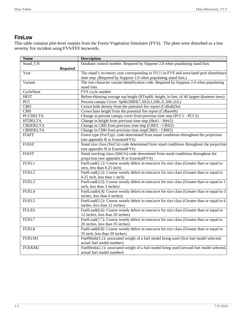## <span id="page-4-0"></span>**FireLow**

This table contains plot-level outputs from the Forest Vegetation Simulator (FVS). The plots were disturbed as a low severity fire incident using FVS/FFE keywords.

| <b>Name</b>             | <b>Description</b>                                                                         |
|-------------------------|--------------------------------------------------------------------------------------------|
| Stand CN                | Database control number. Required by Suppose 2.0 when populating stand lists.              |
| <b>Required</b>         |                                                                                            |
| Year                    | The stand's inventory year corresponding to $IY(1)$ in FVS and associated post disturbance |
|                         | time step. (Required by Suppose 2.0 when populating stand lists.)                          |
| Variant                 | The two character variant identification code. Required by Suppose 2.0 when populating     |
|                         | stand lists.                                                                               |
| CycleNum                | FVS cycle number                                                                           |
| <b>HEIT</b>             | Before-thinning average top height (BTopHt: height, in feet, of 40 largest diameter trees) |
| PCC                     | Percent canopy Cover: SpMcDBH(7,All,0,1,200.,0.,500.,0,0.)                                 |
| $\overline{\text{CBD}}$ | Crown bulk density from the potential fire report (CrBulkDn)                               |
| CBH                     | Crown base height from the potential fire report (CrBaseHt)                                |
| <b>PCCDELTA</b>         | Change in percent canopy cover from previous time step (PCC1 - PCC2)                       |
| <b>HTDELTA</b>          | Change in height from previous time step (Heit1 - Heit2)                                   |
| <b>CBDDELTA</b>         | Change in CBD from previous time step (CBD1 - CBD2)                                        |
| <b>CBHDELTA</b>         | Change in CBH from previous time step(CBH1 - CBH2)                                         |
| <b>FIAFT</b>            | Forest type (ForTyp) code determined from stand conditions throughout the projection       |
|                         | (see appendix B in EssentialFVS)                                                           |
| <b>FIASZ</b>            | Stand size class (SizCls) code determined from stand conditions throughout the projection  |
|                         | (see appendix B in EssentialFVS)                                                           |
| <b>FIAST</b>            | Stand stocking class (StkCls) code determined from stand conditions throughout the         |
|                         | projection (see appendix B in EssentialFVS)                                                |
| FUEL1                   | FuelLoad(1,1): Course woody debris in tons/acre for size class (Greater than or equal to   |
|                         | zero, less than 0.25 inch)                                                                 |
| FUEL2                   | FuelLoad(2,2): Course woody debris in tons/acre for size class (Greater than or equal to   |
|                         | 0.25 inch, less than 1 inch)                                                               |
| FUEL3                   | FuelLoad(3,3): Course woody debris in tons/acre for size class (Greater than or equal to 1 |
|                         | inch, less than 3 inches)                                                                  |
| FUEL4                   | FuelLoad(4,4): Course woody debris in tons/acre for size class (Greater than or equal to 3 |
|                         | inches, less than 6 inches)                                                                |
| FUEL5                   | FuelLoad(5,5): Course woody debris in tons/acre for size class (Greater than or equal to 6 |
|                         | inches, less than 12 inches)                                                               |
| FULE6                   | FuelLoad(6,6): Course woody debris in tons/acre for size class (Greater than or equal to   |
|                         | 12 inches, less than 20 inches)                                                            |
| FUEL7                   | FuelLoad(7,7): Course woody debris in tons/acre for size class (Greater than or equal to   |
|                         | 20 inches, less than 35 inches)                                                            |
| FUEL8                   | FuelLoad(8,8): Course woody debris in tons/acre for size class (Greater than or equal to   |
|                         | 35 inch, less than 50 inches)                                                              |
| FUELM1                  | FuelMods(1,1): associated weight of a fuel model being used (first fuel model selected,    |
|                         | actual fuel model number)                                                                  |
| FUEKM2                  | FuelMods(2,1): associated weight of a fuel model being used (second fuel model selected,   |
|                         | actual fuel model number)                                                                  |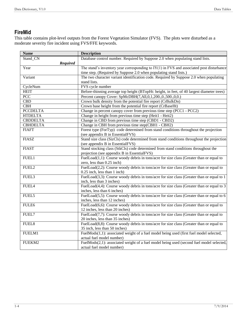## <span id="page-5-0"></span>**FireMid**

This table contains plot-level outputs from the Forest Vegetation Simulator (FVS). The plots were disturbed as a moderate severity fire incident using FVS/FFE keywords.

| <b>Name</b>      | <b>Description</b>                                                                         |
|------------------|--------------------------------------------------------------------------------------------|
| Stand CN         | Database control number. Required by Suppose 2.0 when populating stand lists.              |
| <b>Required</b>  |                                                                                            |
| Year             | The stand's inventory year corresponding to $IY(1)$ in FVS and associated post disturbance |
|                  | time step. (Required by Suppose 2.0 when populating stand lists.)                          |
| Variant          | The two character variant identification code. Required by Suppose 2.0 when populating     |
|                  | stand lists.                                                                               |
| CycleNum         | FVS cycle number                                                                           |
| <b>HEIT</b>      | Before-thinning average top height (BTopHt: height, in feet, of 40 largest diameter trees) |
| $\overline{PCC}$ | Percent canopy Cover: SpMcDBH(7,All,0,1,200.,0.,500.,0,0.)                                 |
| <b>CBD</b>       | Crown bulk density from the potential fire report (CrBulkDn)                               |
| CBH              | Crown base height from the potential fire report (CrBaseHt)                                |
| <b>PCCDELTA</b>  | Change in percent canopy cover from previous time step (PCC1 - PCC2)                       |
| <b>HTDELTA</b>   | Change in height from previous time step (Heit1 - Heit2)                                   |
| <b>CBDDELTA</b>  | Change in CBD from previous time step (CBD1 - CBD2)                                        |
| <b>CBHDELTA</b>  | Change in CBH from previous time step(CBH1 - CBH2)                                         |
| <b>FIAFT</b>     | Forest type (ForTyp) code determined from stand conditions throughout the projection       |
|                  | (see appendix B in EssentialFVS)                                                           |
| <b>FIASZ</b>     | Stand size class (SizCls) code determined from stand conditions throughout the projection  |
|                  | (see appendix B in EssentialFVS)                                                           |
| <b>FIAST</b>     | Stand stocking class (StkCls) code determined from stand conditions throughout the         |
|                  | projection (see appendix B in EssentialFVS)                                                |
| FUEL1            | FuelLoad(1,1): Course woody debris in tons/acre for size class (Greater than or equal to   |
|                  | zero, less than 0.25 inch)                                                                 |
| FUEL2            | FuelLoad(2,2): Course woody debris in tons/acre for size class (Greater than or equal to   |
|                  | 0.25 inch, less than 1 inch)                                                               |
| FUEL3            | FuelLoad(3,3): Course woody debris in tons/acre for size class (Greater than or equal to 1 |
|                  | inch, less than 3 inches)                                                                  |
| FUEL4            | FuelLoad(4,4): Course woody debris in tons/acre for size class (Greater than or equal to 3 |
|                  | inches, less than 6 inches)                                                                |
| FUEL5            | FuelLoad(5,5): Course woody debris in tons/acre for size class (Greater than or equal to 6 |
|                  | inches, less than 12 inches)                                                               |
| FULE6            | FuelLoad(6,6): Course woody debris in tons/acre for size class (Greater than or equal to   |
|                  | 12 inches, less than 20 inches)                                                            |
| FUEL7            | FuelLoad(7,7): Course woody debris in tons/acre for size class (Greater than or equal to   |
|                  | 20 inches, less than 35 inches)                                                            |
| FUEL8            | FuelLoad(8,8): Course woody debris in tons/acre for size class (Greater than or equal to   |
|                  | 35 inch, less than 50 inches)                                                              |
| FUELM1           | FuelMods(1,1): associated weight of a fuel model being used (first fuel model selected,    |
|                  | actual fuel model number)                                                                  |
| FUEKM2           | FuelMods(2,1): associated weight of a fuel model being used (second fuel model selected,   |
|                  | actual fuel model number)                                                                  |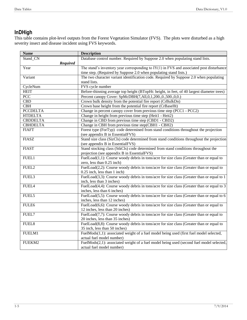# <span id="page-6-0"></span>**InDHigh**

This table contains plot-level outputs from the Forest Vegetation Simulator (FVS). The plots were disturbed as a high severity insect and disease incident using FVS keywords.

| <b>Name</b>       | <b>Description</b>                                                                           |
|-------------------|----------------------------------------------------------------------------------------------|
| Stand CN          | Database control number. Required by Suppose 2.0 when populating stand lists.                |
| <b>Required</b>   |                                                                                              |
| Year              | The stand's inventory year corresponding to $IY(1)$ in FVS and associated post disturbance   |
|                   | time step. (Required by Suppose 2.0 when populating stand lists.)                            |
| Variant           | The two character variant identification code. Required by Suppose 2.0 when populating       |
|                   | stand lists.                                                                                 |
| CycleNum          | FVS cycle number                                                                             |
| <b>HEIT</b>       | Before-thinning average top height (BTopHt: height, in feet, of 40 largest diameter trees)   |
| PCC               | Percent canopy Cover: SpMcDBH(7,All,0,1,200.,0.,500.,0,0.)                                   |
| CBD               | Crown bulk density from the potential fire report (CrBulkDn)                                 |
| CBH               | Crown base height from the potential fire report (CrBaseHt)                                  |
| <b>PCCDELTA</b>   | Change in percent canopy cover from previous time step (PCC1 - PCC2)                         |
| <b>HTDELTA</b>    | Change in height from previous time step (Heit1 - Heit2)                                     |
| <b>CBDDELTA</b>   | Change in CBD from previous time step (CBD1 - CBD2)                                          |
| <b>CBHDELTA</b>   | Change in CBH from previous time step(CBH1 - CBH2)                                           |
| <b>FIAFT</b>      | Forest type (ForTyp) code determined from stand conditions throughout the projection         |
|                   | (see appendix B in EssentialFVS)                                                             |
| <b>FIASZ</b>      | Stand size class (SizCls) code determined from stand conditions throughout the projection    |
|                   | (see appendix B in EssentialFVS)                                                             |
| <b>FIAST</b>      | Stand stocking class (StkCls) code determined from stand conditions throughout the           |
|                   | projection (see appendix B in EssentialFVS)                                                  |
| FUEL1             | FuelLoad(1,1): Course woody debris in tons/acre for size class (Greater than or equal to     |
|                   | zero, less than 0.25 inch)                                                                   |
| FUEL2             | FuelLoad(2,2): Course woody debris in tons/acre for size class (Greater than or equal to     |
|                   | 0.25 inch, less than 1 inch)                                                                 |
| FUEL3             | FuelLoad(3,3): Course woody debris in tons/acre for size class (Greater than or equal to 1   |
|                   | inch, less than 3 inches)                                                                    |
| FUEL4             | FuelLoad(4,4): Course woody debris in tons/acre for size class (Greater than or equal to 3   |
|                   | inches, less than 6 inches)                                                                  |
| FUEL5             | FuelLoad(5,5): Course woody debris in tons/acre for size class (Greater than or equal to $6$ |
|                   | inches, less than 12 inches)                                                                 |
| FULE6             | FuelLoad $(6,6)$ : Course woody debris in tons/acre for size class (Greater than or equal to |
|                   | 12 inches, less than 20 inches)                                                              |
| FUEL7             | FuelLoad(7,7): Course woody debris in tons/acre for size class (Greater than or equal to     |
|                   | 20 inches, less than 35 inches)                                                              |
| FUEL <sub>8</sub> | FuelLoad(8,8): Course woody debris in tons/acre for size class (Greater than or equal to     |
|                   | 35 inch, less than 50 inches)                                                                |
| FUELM1            | FuelMods(1,1): associated weight of a fuel model being used (first fuel model selected,      |
|                   | actual fuel model number)                                                                    |
| FUEKM2            | FuelMods(2,1): associated weight of a fuel model being used (second fuel model selected,     |
|                   | actual fuel model number)                                                                    |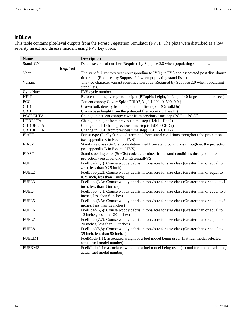## <span id="page-7-0"></span>**InDLow**

This table contains plot-level outputs from the Forest Vegetation Simulator (FVS). The plots were disturbed as a low severity insect and disease incident using FVS keywords.

| <b>Name</b>       | <b>Description</b>                                                                           |
|-------------------|----------------------------------------------------------------------------------------------|
| Stand CN          | Database control number. Required by Suppose 2.0 when populating stand lists.                |
| Required          |                                                                                              |
| Year              | The stand's inventory year corresponding to $IY(1)$ in FVS and associated post disturbance   |
|                   | time step. (Required by Suppose 2.0 when populating stand lists.)                            |
| Variant           | The two character variant identification code. Required by Suppose 2.0 when populating       |
|                   | stand lists.                                                                                 |
| CycleNum          | FVS cycle number                                                                             |
| <b>HEIT</b>       | Before-thinning average top height (BTopHt: height, in feet, of 40 largest diameter trees)   |
| $\overline{PCC}$  | Percent canopy Cover: SpMcDBH(7,All,0,1,200.,0.,500.,0,0.)                                   |
| CBD               | Crown bulk density from the potential fire report (CrBulkDn)                                 |
| CBH               | Crown base height from the potential fire report (CrBaseHt)                                  |
| <b>PCCDELTA</b>   | Change in percent canopy cover from previous time step (PCC1 - PCC2)                         |
| <b>HTDELTA</b>    | Change in height from previous time step (Heit1 - Heit2)                                     |
| <b>CBDDELTA</b>   | Change in CBD from previous time step (CBD1 - CBD2)                                          |
| <b>CBHDELTA</b>   | Change in CBH from previous time step(CBH1 - CBH2)                                           |
| <b>FIAFT</b>      | Forest type (ForTyp) code determined from stand conditions throughout the projection         |
|                   | (see appendix B in EssentialFVS)                                                             |
| <b>FIASZ</b>      | Stand size class (SizCls) code determined from stand conditions throughout the projection    |
|                   | (see appendix B in EssentialFVS)                                                             |
| <b>FIAST</b>      | Stand stocking class (StkCls) code determined from stand conditions throughout the           |
|                   | projection (see appendix B in EssentialFVS)                                                  |
| FUEL1             | FuelLoad $(1,1)$ : Course woody debris in tons/acre for size class (Greater than or equal to |
|                   | zero, less than 0.25 inch)                                                                   |
| FUEL <sub>2</sub> | FuelLoad(2,2): Course woody debris in tons/acre for size class (Greater than or equal to     |
|                   | 0.25 inch, less than 1 inch)                                                                 |
| FUEL3             | FuelLoad(3,3): Course woody debris in tons/acre for size class (Greater than or equal to 1   |
|                   | inch, less than 3 inches)                                                                    |
| FUEL4             | FuelLoad(4,4): Course woody debris in tons/acre for size class (Greater than or equal to 3   |
|                   | inches, less than 6 inches)                                                                  |
| FUEL5             | FuelLoad(5,5): Course woody debris in tons/acre for size class (Greater than or equal to 6   |
|                   | inches, less than 12 inches)                                                                 |
| FULE6             | FuelLoad(6,6): Course woody debris in tons/acre for size class (Greater than or equal to     |
|                   | 12 inches, less than 20 inches)                                                              |
| FUEL7             | FuelLoad $(7,7)$ : Course woody debris in tons/acre for size class (Greater than or equal to |
|                   | 20 inches, less than 35 inches)                                                              |
| FUEL8             | FuelLoad(8,8): Course woody debris in tons/acre for size class (Greater than or equal to     |
|                   | 35 inch, less than 50 inches)                                                                |
| FUELM1            | FuelMods(1,1): associated weight of a fuel model being used (first fuel model selected,      |
|                   | actual fuel model number)                                                                    |
| FUEKM2            | FuelMods(2,1): associated weight of a fuel model being used (second fuel model selected,     |
|                   | actual fuel model number)                                                                    |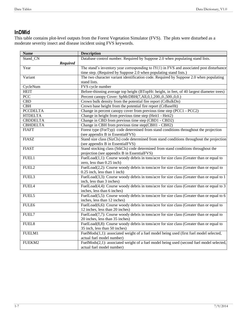# <span id="page-8-0"></span>**InDMid**

This table contains plot-level outputs from the Forest Vegetation Simulator (FVS). The plots were disturbed as a moderate severity insect and disease incident using FVS keywords.

| <b>Name</b>       | <b>Description</b>                                                                           |
|-------------------|----------------------------------------------------------------------------------------------|
| Stand CN          | Database control number. Required by Suppose 2.0 when populating stand lists.                |
| <b>Required</b>   |                                                                                              |
| Year              | The stand's inventory year corresponding to $IY(1)$ in FVS and associated post disturbance   |
|                   | time step. (Required by Suppose 2.0 when populating stand lists.)                            |
| Variant           | The two character variant identification code. Required by Suppose 2.0 when populating       |
|                   | stand lists.                                                                                 |
| CycleNum          | FVS cycle number                                                                             |
| <b>HEIT</b>       | Before-thinning average top height (BTopHt: height, in feet, of 40 largest diameter trees)   |
| $\overline{PCC}$  | Percent canopy Cover: SpMcDBH(7,All,0,1,200.,0.,500.,0,0.)                                   |
| <b>CBD</b>        | Crown bulk density from the potential fire report (CrBulkDn)                                 |
| CBH               | Crown base height from the potential fire report (CrBaseHt)                                  |
| <b>PCCDELTA</b>   | Change in percent canopy cover from previous time step (PCC1 - PCC2)                         |
| <b>HTDELTA</b>    | Change in height from previous time step (Heit1 - Heit2)                                     |
| <b>CBDDELTA</b>   | Change in CBD from previous time step (CBD1 - CBD2)                                          |
| <b>CBHDELTA</b>   | Change in CBH from previous time step(CBH1 - CBH2)                                           |
| <b>FIAFT</b>      | Forest type (ForTyp) code determined from stand conditions throughout the projection         |
|                   | (see appendix B in EssentialFVS)                                                             |
| <b>FIASZ</b>      | Stand size class (SizCls) code determined from stand conditions throughout the projection    |
|                   | (see appendix B in EssentialFVS)                                                             |
| <b>FIAST</b>      | Stand stocking class (StkCls) code determined from stand conditions throughout the           |
|                   | projection (see appendix B in EssentialFVS)                                                  |
| FUEL1             | FuelLoad(1,1): Course woody debris in tons/acre for size class (Greater than or equal to     |
|                   | zero, less than 0.25 inch)                                                                   |
| FUEL2             | FuelLoad(2,2): Course woody debris in tons/acre for size class (Greater than or equal to     |
|                   | 0.25 inch, less than 1 inch)                                                                 |
| FUEL3             | FuelLoad(3,3): Course woody debris in tons/acre for size class (Greater than or equal to 1   |
|                   | inch, less than 3 inches)                                                                    |
| FUEL4             | FuelLoad(4,4): Course woody debris in tons/acre for size class (Greater than or equal to 3   |
|                   | inches, less than 6 inches)                                                                  |
| FUEL5             | FuelLoad(5,5): Course woody debris in tons/acre for size class (Greater than or equal to $6$ |
|                   | inches, less than 12 inches)                                                                 |
| FULE6             | FuelLoad(6,6): Course woody debris in tons/acre for size class (Greater than or equal to     |
|                   | 12 inches, less than 20 inches)                                                              |
| FUEL7             | FuelLoad(7,7): Course woody debris in tons/acre for size class (Greater than or equal to     |
|                   | 20 inches, less than 35 inches)                                                              |
| FUEL <sub>8</sub> | FuelLoad(8,8): Course woody debris in tons/acre for size class (Greater than or equal to     |
|                   | 35 inch, less than 50 inches)                                                                |
| FUELM1            | FuelMods(1,1): associated weight of a fuel model being used (first fuel model selected,      |
|                   | actual fuel model number)                                                                    |
| FUEKM2            | FuelMods(2,1): associated weight of a fuel model being used (second fuel model selected,     |
|                   | actual fuel model number)                                                                    |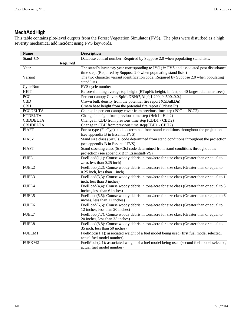# <span id="page-9-0"></span>**MechAddHigh**

This table contains plot-level outputs from the Forest Vegetation Simulator (FVS). The plots were disturbed as a high severity mechanical add incident using FVS keywords.

| <b>Name</b>       | <b>Description</b>                                                                           |
|-------------------|----------------------------------------------------------------------------------------------|
| Stand CN          | Database control number. Required by Suppose 2.0 when populating stand lists.                |
| <b>Required</b>   |                                                                                              |
| Year              | The stand's inventory year corresponding to $IY(1)$ in FVS and associated post disturbance   |
|                   | time step. (Required by Suppose 2.0 when populating stand lists.)                            |
| Variant           | The two character variant identification code. Required by Suppose 2.0 when populating       |
|                   | stand lists.                                                                                 |
| CycleNum          | FVS cycle number                                                                             |
| <b>HEIT</b>       | Before-thinning average top height (BTopHt: height, in feet, of 40 largest diameter trees)   |
| PCC               | Percent canopy Cover: SpMcDBH(7,All,0,1,200.,0.,500.,0,0.)                                   |
| CBD               | Crown bulk density from the potential fire report (CrBulkDn)                                 |
| CBH               | Crown base height from the potential fire report (CrBaseHt)                                  |
| <b>PCCDELTA</b>   | Change in percent canopy cover from previous time step (PCC1 - PCC2)                         |
| <b>HTDELTA</b>    | Change in height from previous time step (Heit1 - Heit2)                                     |
| <b>CBDDELTA</b>   | Change in CBD from previous time step (CBD1 - CBD2)                                          |
| <b>CBHDELTA</b>   | Change in CBH from previous time step(CBH1 - CBH2)                                           |
| <b>FIAFT</b>      | Forest type (ForTyp) code determined from stand conditions throughout the projection         |
|                   | (see appendix B in EssentialFVS)                                                             |
| <b>FIASZ</b>      | Stand size class (SizCls) code determined from stand conditions throughout the projection    |
|                   | (see appendix B in EssentialFVS)                                                             |
| <b>FIAST</b>      | Stand stocking class (StkCls) code determined from stand conditions throughout the           |
|                   | projection (see appendix B in EssentialFVS)                                                  |
| FUEL1             | FuelLoad(1,1): Course woody debris in tons/acre for size class (Greater than or equal to     |
|                   | zero, less than 0.25 inch)                                                                   |
| FUEL2             | FuelLoad(2,2): Course woody debris in tons/acre for size class (Greater than or equal to     |
|                   | 0.25 inch, less than 1 inch)                                                                 |
| FUEL3             | FuelLoad(3,3): Course woody debris in tons/acre for size class (Greater than or equal to 1   |
|                   | inch, less than 3 inches)                                                                    |
| FUEL4             | FuelLoad(4,4): Course woody debris in tons/acre for size class (Greater than or equal to 3   |
|                   | inches, less than 6 inches)                                                                  |
| FUEL5             | FuelLoad(5,5): Course woody debris in tons/acre for size class (Greater than or equal to $6$ |
|                   | inches, less than 12 inches)                                                                 |
| FULE6             | FuelLoad $(6,6)$ : Course woody debris in tons/acre for size class (Greater than or equal to |
|                   | 12 inches, less than 20 inches)                                                              |
| FUEL7             | FuelLoad(7,7): Course woody debris in tons/acre for size class (Greater than or equal to     |
|                   | 20 inches, less than 35 inches)                                                              |
| FUEL <sub>8</sub> | FuelLoad(8,8): Course woody debris in tons/acre for size class (Greater than or equal to     |
|                   | 35 inch, less than 50 inches)                                                                |
| FUELM1            | FuelMods(1,1): associated weight of a fuel model being used (first fuel model selected,      |
|                   | actual fuel model number)                                                                    |
| FUEKM2            | FuelMods(2,1): associated weight of a fuel model being used (second fuel model selected,     |
|                   | actual fuel model number)                                                                    |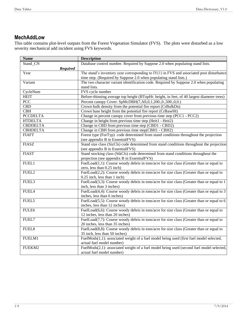## <span id="page-10-0"></span>**MechAddLow**

This table contains plot-level outputs from the Forest Vegetation Simulator (FVS). The plots were disturbed as a low severity mechanical add incident using FVS keywords.

| <b>Name</b>             | <b>Description</b>                                                                           |
|-------------------------|----------------------------------------------------------------------------------------------|
| Stand CN                | Database control number. Required by Suppose 2.0 when populating stand lists.                |
| Required                |                                                                                              |
| Year                    | The stand's inventory year corresponding to $IY(1)$ in FVS and associated post disturbance   |
|                         | time step. (Required by Suppose 2.0 when populating stand lists.)                            |
| Variant                 | The two character variant identification code. Required by Suppose 2.0 when populating       |
|                         | stand lists.                                                                                 |
| CycleNum                | FVS cycle number                                                                             |
| <b>HEIT</b>             | Before-thinning average top height (BTopHt: height, in feet, of 40 largest diameter trees)   |
| $\overline{PCC}$        | Percent canopy Cover: SpMcDBH(7,All,0,1,200.,0.,500.,0,0.)                                   |
| $\overline{\text{CBD}}$ | Crown bulk density from the potential fire report (CrBulkDn)                                 |
| $\overline{\text{CBH}}$ | Crown base height from the potential fire report (CrBaseHt)                                  |
| <b>PCCDELTA</b>         | Change in percent canopy cover from previous time step (PCC1 - PCC2)                         |
| <b>HTDELTA</b>          | Change in height from previous time step (Heit1 - Heit2)                                     |
| <b>CBDDELTA</b>         | Change in CBD from previous time step (CBD1 - CBD2)                                          |
| <b>CBHDELTA</b>         | Change in CBH from previous time step(CBH1 - CBH2)                                           |
| <b>FIAFT</b>            | Forest type (ForTyp) code determined from stand conditions throughout the projection         |
|                         | (see appendix B in EssentialFVS)                                                             |
| <b>FIASZ</b>            | Stand size class (SizCls) code determined from stand conditions throughout the projection    |
|                         | (see appendix B in EssentialFVS)                                                             |
| <b>FIAST</b>            | Stand stocking class (StkCls) code determined from stand conditions throughout the           |
|                         | projection (see appendix B in EssentialFVS)                                                  |
| FUEL1                   | FuelLoad(1,1): Course woody debris in tons/acre for size class (Greater than or equal to     |
|                         | zero, less than 0.25 inch)                                                                   |
| FUEL <sub>2</sub>       | FuelLoad(2,2): Course woody debris in tons/acre for size class (Greater than or equal to     |
|                         | $0.25$ inch, less than 1 inch)                                                               |
| FUEL3                   | FuelLoad(3,3): Course woody debris in tons/acre for size class (Greater than or equal to 1   |
|                         | inch, less than 3 inches)                                                                    |
| FUEL4                   | FuelLoad(4,4): Course woody debris in tons/acre for size class (Greater than or equal to 3   |
|                         | inches, less than 6 inches)                                                                  |
| FUEL5                   | FuelLoad(5,5): Course woody debris in tons/acre for size class (Greater than or equal to $6$ |
|                         | inches, less than 12 inches)                                                                 |
| FULE6                   | FuelLoad(6,6): Course woody debris in tons/acre for size class (Greater than or equal to     |
|                         | 12 inches, less than 20 inches)                                                              |
| FUEL7                   | FuelLoad(7,7): Course woody debris in tons/acre for size class (Greater than or equal to     |
|                         | 20 inches, less than 35 inches)                                                              |
| FUEL8                   | FuelLoad(8,8): Course woody debris in tons/acre for size class (Greater than or equal to     |
|                         | 35 inch, less than 50 inches)                                                                |
| FUELM1                  | FuelMods(1,1): associated weight of a fuel model being used (first fuel model selected,      |
|                         | actual fuel model number)                                                                    |
| FUEKM2                  | FuelMods(2,1): associated weight of a fuel model being used (second fuel model selected,     |
|                         | actual fuel model number)                                                                    |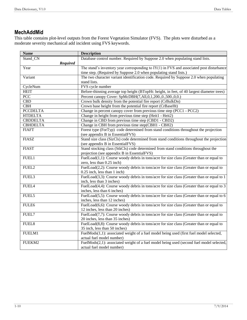# <span id="page-11-0"></span>**MechAddMid**

This table contains plot-level outputs from the Forest Vegetation Simulator (FVS). The plots were disturbed as a moderate severity mechanical add incident using FVS keywords.

| <b>Name</b>       | <b>Description</b>                                                                           |
|-------------------|----------------------------------------------------------------------------------------------|
| Stand CN          | Database control number. Required by Suppose 2.0 when populating stand lists.                |
| <b>Required</b>   |                                                                                              |
| Year              | The stand's inventory year corresponding to $IY(1)$ in FVS and associated post disturbance   |
|                   | time step. (Required by Suppose 2.0 when populating stand lists.)                            |
| Variant           | The two character variant identification code. Required by Suppose 2.0 when populating       |
|                   | stand lists.                                                                                 |
| CycleNum          | FVS cycle number                                                                             |
| <b>HEIT</b>       | Before-thinning average top height (BTopHt: height, in feet, of 40 largest diameter trees)   |
| $\overline{PCC}$  | Percent canopy Cover: SpMcDBH(7,All,0,1,200.,0.,500.,0,0.)                                   |
| CBD               | Crown bulk density from the potential fire report (CrBulkDn)                                 |
| CBH               | Crown base height from the potential fire report (CrBaseHt)                                  |
| <b>PCCDELTA</b>   | Change in percent canopy cover from previous time step (PCC1 - PCC2)                         |
| <b>HTDELTA</b>    | Change in height from previous time step (Heit1 - Heit2)                                     |
| <b>CBDDELTA</b>   | Change in CBD from previous time step (CBD1 - CBD2)                                          |
| <b>CBHDELTA</b>   | Change in CBH from previous time step(CBH1 - CBH2)                                           |
| <b>FIAFT</b>      | Forest type (ForTyp) code determined from stand conditions throughout the projection         |
|                   | (see appendix B in EssentialFVS)                                                             |
| <b>FIASZ</b>      | Stand size class (SizCls) code determined from stand conditions throughout the projection    |
|                   | (see appendix B in EssentialFVS)                                                             |
| <b>FIAST</b>      | Stand stocking class (StkCls) code determined from stand conditions throughout the           |
|                   | projection (see appendix B in EssentialFVS)                                                  |
| FUEL1             | FuelLoad $(1,1)$ : Course woody debris in tons/acre for size class (Greater than or equal to |
|                   | zero, less than 0.25 inch)                                                                   |
| FUEL2             | FuelLoad(2,2): Course woody debris in tons/acre for size class (Greater than or equal to     |
|                   | 0.25 inch, less than 1 inch)                                                                 |
| FUEL3             | FuelLoad(3,3): Course woody debris in tons/acre for size class (Greater than or equal to 1   |
|                   | inch, less than 3 inches)                                                                    |
| FUEL4             | FuelLoad(4,4): Course woody debris in tons/acre for size class (Greater than or equal to 3   |
|                   | inches, less than 6 inches)                                                                  |
| FUEL5             | FuelLoad(5,5): Course woody debris in tons/acre for size class (Greater than or equal to 6   |
|                   | inches, less than 12 inches)                                                                 |
| FULE6             | FuelLoad(6,6): Course woody debris in tons/acre for size class (Greater than or equal to     |
|                   | 12 inches, less than 20 inches)                                                              |
| FUEL7             | FuelLoad(7,7): Course woody debris in tons/acre for size class (Greater than or equal to     |
|                   | 20 inches, less than 35 inches)                                                              |
| FUEL <sub>8</sub> | FuelLoad(8,8): Course woody debris in tons/acre for size class (Greater than or equal to     |
|                   | 35 inch, less than 50 inches)                                                                |
| FUELM1            | FuelMods(1,1): associated weight of a fuel model being used (first fuel model selected,      |
|                   | actual fuel model number)                                                                    |
| FUEKM2            | FuelMods(2,1): associated weight of a fuel model being used (second fuel model selected,     |
|                   | actual fuel model number)                                                                    |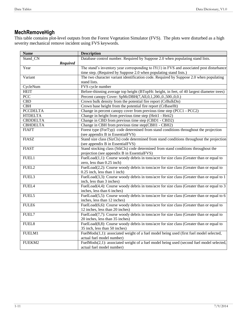# <span id="page-12-0"></span>**MechRemoveHigh**

This table contains plot-level outputs from the Forest Vegetation Simulator (FVS). The plots were disturbed as a high severity mechanical remove incident using FVS keywords.

| <b>Name</b>       | <b>Description</b>                                                                           |
|-------------------|----------------------------------------------------------------------------------------------|
| Stand CN          | Database control number. Required by Suppose 2.0 when populating stand lists.                |
| <b>Required</b>   |                                                                                              |
| Year              | The stand's inventory year corresponding to $IY(1)$ in FVS and associated post disturbance   |
|                   | time step. (Required by Suppose 2.0 when populating stand lists.)                            |
| Variant           | The two character variant identification code. Required by Suppose 2.0 when populating       |
|                   | stand lists.                                                                                 |
| CycleNum          | FVS cycle number                                                                             |
| <b>HEIT</b>       | Before-thinning average top height (BTopHt: height, in feet, of 40 largest diameter trees)   |
| <b>PCC</b>        | Percent canopy Cover: SpMcDBH(7,All,0,1,200.,0.,500.,0,0.)                                   |
| CBD               | Crown bulk density from the potential fire report (CrBulkDn)                                 |
| CBH               | Crown base height from the potential fire report (CrBaseHt)                                  |
| <b>PCCDELTA</b>   | Change in percent canopy cover from previous time step (PCC1 - PCC2)                         |
| <b>HTDELTA</b>    | Change in height from previous time step (Heit1 - Heit2)                                     |
| <b>CBDDELTA</b>   | Change in CBD from previous time step (CBD1 - CBD2)                                          |
| <b>CBHDELTA</b>   | Change in CBH from previous time step(CBH1 - CBH2)                                           |
| <b>FIAFT</b>      | Forest type (ForTyp) code determined from stand conditions throughout the projection         |
|                   | (see appendix B in EssentialFVS)                                                             |
| <b>FIASZ</b>      | Stand size class (SizCls) code determined from stand conditions throughout the projection    |
|                   | (see appendix B in EssentialFVS)                                                             |
| <b>FIAST</b>      | Stand stocking class (StkCls) code determined from stand conditions throughout the           |
|                   | projection (see appendix B in EssentialFVS)                                                  |
| FUEL1             | FuelLoad(1,1): Course woody debris in tons/acre for size class (Greater than or equal to     |
|                   | zero, less than 0.25 inch)                                                                   |
| FUEL2             | FuelLoad(2,2): Course woody debris in tons/acre for size class (Greater than or equal to     |
|                   | 0.25 inch, less than 1 inch)                                                                 |
| FUEL3             | FuelLoad(3,3): Course woody debris in tons/acre for size class (Greater than or equal to 1   |
|                   | inch, less than 3 inches)                                                                    |
| FUEL4             | FuelLoad(4,4): Course woody debris in tons/acre for size class (Greater than or equal to 3   |
|                   | inches, less than 6 inches)                                                                  |
| FUEL5             | FuelLoad(5,5): Course woody debris in tons/acre for size class (Greater than or equal to $6$ |
|                   | inches, less than 12 inches)                                                                 |
| FULE6             | FuelLoad(6,6): Course woody debris in tons/acre for size class (Greater than or equal to     |
|                   | 12 inches, less than 20 inches)                                                              |
| FUEL7             | FuelLoad(7,7): Course woody debris in tons/acre for size class (Greater than or equal to     |
|                   | 20 inches, less than 35 inches)                                                              |
| FUEL <sub>8</sub> | FuelLoad(8,8): Course woody debris in tons/acre for size class (Greater than or equal to     |
|                   | 35 inch, less than 50 inches)                                                                |
| FUELM1            | FuelMods(1,1): associated weight of a fuel model being used (first fuel model selected,      |
|                   | actual fuel model number)                                                                    |
| FUEKM2            | FuelMods(2,1): associated weight of a fuel model being used (second fuel model selected,     |
|                   | actual fuel model number)                                                                    |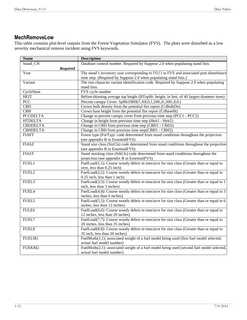#### <span id="page-13-0"></span>**MechRemoveLow**

This table contains plot-level outputs from the Forest Vegetation Simulator (FVS). The plots were disturbed as a low severity mechanical remove incident using FVS keywords.

| <b>Name</b>       | <b>Description</b>                                                                         |
|-------------------|--------------------------------------------------------------------------------------------|
| Stand_CN          | Database control number. Required by Suppose 2.0 when populating stand lists.              |
| <b>Required</b>   |                                                                                            |
| Year              | The stand's inventory year corresponding to $IY(1)$ in FVS and associated post disturbance |
|                   | time step. (Required by Suppose 2.0 when populating stand lists.)                          |
| Variant           | The two character variant identification code. Required by Suppose 2.0 when populating     |
|                   | stand lists.                                                                               |
| CycleNum          | FVS cycle number                                                                           |
| <b>HEIT</b>       | Before-thinning average top height (BTopHt: height, in feet, of 40 largest diameter trees) |
| <b>PCC</b>        | Percent canopy Cover: SpMcDBH(7,All,0,1,200.,0.,500.,0,0.)                                 |
| CBD               | Crown bulk density from the potential fire report (CrBulkDn)                               |
| CBH               | Crown base height from the potential fire report (CrBaseHt)                                |
| <b>PCCDELTA</b>   | Change in percent canopy cover from previous time step (PCC1 - PCC2)                       |
| <b>HTDELTA</b>    | Change in height from previous time step (Heit1 - Heit2)                                   |
| <b>CBDDELTA</b>   | Change in CBD from previous time step (CBD1 - CBD2)                                        |
| <b>CBHDELTA</b>   | Change in CBH from previous time step(CBH1 - CBH2)                                         |
| <b>FIAFT</b>      | Forest type (ForTyp) code determined from stand conditions throughout the projection       |
|                   | (see appendix B in EssentialFVS)                                                           |
| <b>FIASZ</b>      | Stand size class (SizCls) code determined from stand conditions throughout the projection  |
|                   | (see appendix B in EssentialFVS)                                                           |
| <b>FIAST</b>      | Stand stocking class (StkCls) code determined from stand conditions throughout the         |
|                   | projection (see appendix B in EssentialFVS)                                                |
| FUEL1             | FuelLoad(1,1): Course woody debris in tons/acre for size class (Greater than or equal to   |
|                   | zero, less than 0.25 inch)                                                                 |
| FUEL2             | FuelLoad(2,2): Course woody debris in tons/acre for size class (Greater than or equal to   |
|                   | 0.25 inch, less than 1 inch)                                                               |
| FUEL3             | FuelLoad(3,3): Course woody debris in tons/acre for size class (Greater than or equal to 1 |
|                   | inch, less than 3 inches)                                                                  |
| FUEL4             | FuelLoad(4,4): Course woody debris in tons/acre for size class (Greater than or equal to 3 |
|                   | inches, less than 6 inches)                                                                |
| FUEL5             | FuelLoad(5,5): Course woody debris in tons/acre for size class (Greater than or equal to 6 |
|                   | inches, less than 12 inches)                                                               |
| FULE6             | FuelLoad(6,6): Course woody debris in tons/acre for size class (Greater than or equal to   |
|                   | 12 inches, less than 20 inches)                                                            |
| FUEL7             | FuelLoad(7,7): Course woody debris in tons/acre for size class (Greater than or equal to   |
|                   | 20 inches, less than 35 inches)                                                            |
| FUEL <sub>8</sub> | FuelLoad(8,8): Course woody debris in tons/acre for size class (Greater than or equal to   |
|                   | 35 inch, less than 50 inches)                                                              |
| FUELM1            | FuelMods(1,1): associated weight of a fuel model being used (first fuel model selected,    |
|                   | actual fuel model number)                                                                  |
| FUEKM2            | FuelMods(2,1): associated weight of a fuel model being used (second fuel model selected,   |
|                   | actual fuel model number)                                                                  |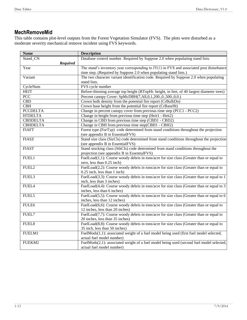# <span id="page-14-0"></span>**MechRemoveMid**

This table contains plot-level outputs from the Forest Vegetation Simulator (FVS). The plots were disturbed as a moderate severity mechanical remove incident using FVS keywords.

| <b>Name</b>     | <b>Description</b>                                                                           |
|-----------------|----------------------------------------------------------------------------------------------|
| Stand CN        | Database control number. Required by Suppose 2.0 when populating stand lists.                |
| <b>Required</b> |                                                                                              |
| Year            | The stand's inventory year corresponding to $IY(1)$ in FVS and associated post disturbance   |
|                 | time step. (Required by Suppose 2.0 when populating stand lists.)                            |
| Variant         | The two character variant identification code. Required by Suppose 2.0 when populating       |
|                 | stand lists.                                                                                 |
| CycleNum        | FVS cycle number                                                                             |
| <b>HEIT</b>     | Before-thinning average top height (BTopHt: height, in feet, of 40 largest diameter trees)   |
| <b>PCC</b>      | Percent canopy Cover: SpMcDBH(7,All,0,1,200.,0.,500.,0,0.)                                   |
| <b>CBD</b>      | Crown bulk density from the potential fire report (CrBulkDn)                                 |
| CBH             | Crown base height from the potential fire report (CrBaseHt)                                  |
| <b>PCCDELTA</b> | Change in percent canopy cover from previous time step (PCC1 - PCC2)                         |
| <b>HTDELTA</b>  | Change in height from previous time step (Heit1 - Heit2)                                     |
| <b>CBDDELTA</b> | Change in CBD from previous time step (CBD1 - CBD2)                                          |
| <b>CBHDELTA</b> | Change in CBH from previous time step(CBH1 - CBH2)                                           |
| <b>FIAFT</b>    | Forest type (ForTyp) code determined from stand conditions throughout the projection         |
|                 | (see appendix B in EssentialFVS)                                                             |
| <b>FIASZ</b>    | Stand size class (SizCls) code determined from stand conditions throughout the projection    |
|                 | (see appendix B in EssentialFVS)                                                             |
| <b>FIAST</b>    | Stand stocking class (StkCls) code determined from stand conditions throughout the           |
|                 | projection (see appendix B in EssentialFVS)                                                  |
| FUEL1           | FuelLoad(1,1): Course woody debris in tons/acre for size class (Greater than or equal to     |
|                 | zero, less than 0.25 inch)                                                                   |
| FUEL2           | FuelLoad(2,2): Course woody debris in tons/acre for size class (Greater than or equal to     |
|                 | 0.25 inch, less than 1 inch)                                                                 |
| FUEL3           | FuelLoad(3,3): Course woody debris in tons/acre for size class (Greater than or equal to 1   |
|                 | inch, less than 3 inches)                                                                    |
| FUEL4           | FuelLoad(4,4): Course woody debris in tons/acre for size class (Greater than or equal to 3   |
|                 | inches, less than 6 inches)                                                                  |
| FUEL5           | FuelLoad(5,5): Course woody debris in tons/acre for size class (Greater than or equal to $6$ |
|                 | inches, less than 12 inches)                                                                 |
| FULE6           | FuelLoad(6,6): Course woody debris in tons/acre for size class (Greater than or equal to     |
|                 | 12 inches, less than 20 inches)                                                              |
| FUEL7           | FuelLoad(7,7): Course woody debris in tons/acre for size class (Greater than or equal to     |
|                 | 20 inches, less than 35 inches)                                                              |
| FUEL8           | FuelLoad(8,8): Course woody debris in tons/acre for size class (Greater than or equal to     |
|                 | 35 inch, less than 50 inches)                                                                |
| FUELM1          | FuelMods(1,1): associated weight of a fuel model being used (first fuel model selected,      |
|                 | actual fuel model number)                                                                    |
| FUEKM2          | FuelMods(2,1): associated weight of a fuel model being used (second fuel model selected,     |
|                 | actual fuel model number)                                                                    |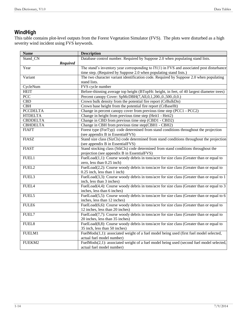# <span id="page-15-0"></span>**WindHigh**

This table contains plot-level outputs from the Forest Vegetation Simulator (FVS). The plots were disturbed as a high severity wind incident using FVS keywords.

| <b>Name</b>     | <b>Description</b>                                                                         |
|-----------------|--------------------------------------------------------------------------------------------|
| Stand CN        | Database control number. Required by Suppose 2.0 when populating stand lists.              |
| <b>Required</b> |                                                                                            |
| Year            | The stand's inventory year corresponding to $IY(1)$ in FVS and associated post disturbance |
|                 | time step. (Required by Suppose 2.0 when populating stand lists.)                          |
| Variant         | The two character variant identification code. Required by Suppose 2.0 when populating     |
|                 | stand lists.                                                                               |
| CycleNum        | FVS cycle number                                                                           |
| <b>HEIT</b>     | Before-thinning average top height (BTopHt: height, in feet, of 40 largest diameter trees) |
| <b>PCC</b>      | Percent canopy Cover: SpMcDBH(7,All,0,1,200.,0.,500.,0,0.)                                 |
| CBD             | Crown bulk density from the potential fire report (CrBulkDn)                               |
| <b>CBH</b>      | Crown base height from the potential fire report (CrBaseHt)                                |
| <b>PCCDELTA</b> | Change in percent canopy cover from previous time step (PCC1 - PCC2)                       |
| <b>HTDELTA</b>  | Change in height from previous time step (Heit1 - Heit2)                                   |
| <b>CBDDELTA</b> | Change in CBD from previous time step (CBD1 - CBD2)                                        |
| <b>CBHDELTA</b> | Change in CBH from previous time step(CBH1 - CBH2)                                         |
| <b>FIAFT</b>    | Forest type (ForTyp) code determined from stand conditions throughout the projection       |
|                 | (see appendix B in EssentialFVS)                                                           |
| <b>FIASZ</b>    | Stand size class (SizCls) code determined from stand conditions throughout the projection  |
|                 | (see appendix B in EssentialFVS)                                                           |
| <b>FIAST</b>    | Stand stocking class (StkCls) code determined from stand conditions throughout the         |
|                 | projection (see appendix B in EssentialFVS)                                                |
| FUEL1           | FuelLoad(1,1): Course woody debris in tons/acre for size class (Greater than or equal to   |
|                 | zero, less than 0.25 inch)                                                                 |
| FUEL2           | FuelLoad(2,2): Course woody debris in tons/acre for size class (Greater than or equal to   |
|                 | 0.25 inch, less than 1 inch)                                                               |
| FUEL3           | FuelLoad(3,3): Course woody debris in tons/acre for size class (Greater than or equal to 1 |
|                 | inch, less than 3 inches)                                                                  |
| FUEL4           | FuelLoad(4,4): Course woody debris in tons/acre for size class (Greater than or equal to 3 |
|                 | inches, less than 6 inches)                                                                |
| FUEL5           | FuelLoad(5,5): Course woody debris in tons/acre for size class (Greater than or equal to 6 |
|                 | inches, less than 12 inches)                                                               |
| FULE6           | FuelLoad(6,6): Course woody debris in tons/acre for size class (Greater than or equal to   |
|                 | 12 inches, less than 20 inches)                                                            |
| FUEL7           | FuelLoad(7,7): Course woody debris in tons/acre for size class (Greater than or equal to   |
|                 | 20 inches, less than 35 inches)                                                            |
| FUEL8           | FuelLoad(8,8): Course woody debris in tons/acre for size class (Greater than or equal to   |
|                 | 35 inch, less than 50 inches)                                                              |
| FUELM1          | FuelMods(1,1): associated weight of a fuel model being used (first fuel model selected,    |
|                 | actual fuel model number)                                                                  |
| FUEKM2          | FuelMods(2,1): associated weight of a fuel model being used (second fuel model selected,   |
|                 | actual fuel model number)                                                                  |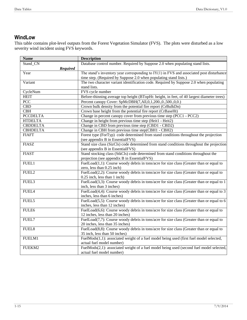## <span id="page-16-0"></span>**WindLow**

This table contains plot-level outputs from the Forest Vegetation Simulator (FVS). The plots were disturbed as a low severity wind incident using FVS keywords.

| <b>Name</b>             | <b>Description</b>                                                                         |
|-------------------------|--------------------------------------------------------------------------------------------|
| Stand CN                | Database control number. Required by Suppose 2.0 when populating stand lists.              |
| <b>Required</b>         |                                                                                            |
| Year                    | The stand's inventory year corresponding to $IY(1)$ in FVS and associated post disturbance |
|                         | time step. (Required by Suppose 2.0 when populating stand lists.)                          |
| Variant                 | The two character variant identification code. Required by Suppose 2.0 when populating     |
|                         | stand lists.                                                                               |
| CycleNum                | FVS cycle number                                                                           |
| <b>HEIT</b>             | Before-thinning average top height (BTopHt: height, in feet, of 40 largest diameter trees) |
| <b>PCC</b>              | Percent canopy Cover: SpMcDBH(7,All,0,1,200.,0.,500.,0,0.)                                 |
| $\overline{\text{CBD}}$ | Crown bulk density from the potential fire report (CrBulkDn)                               |
| CBH                     | Crown base height from the potential fire report (CrBaseHt)                                |
| <b>PCCDELTA</b>         | Change in percent canopy cover from previous time step (PCC1 - PCC2)                       |
| <b>HTDELTA</b>          | Change in height from previous time step (Heit1 - Heit2)                                   |
| <b>CBDDELTA</b>         | Change in CBD from previous time step (CBD1 - CBD2)                                        |
| <b>CBHDELTA</b>         | Change in CBH from previous time step(CBH1 - CBH2)                                         |
| <b>FIAFT</b>            | Forest type (ForTyp) code determined from stand conditions throughout the projection       |
|                         | (see appendix B in EssentialFVS)                                                           |
| <b>FIASZ</b>            | Stand size class (SizCls) code determined from stand conditions throughout the projection  |
|                         | (see appendix B in EssentialFVS)                                                           |
| <b>FIAST</b>            | Stand stocking class (StkCls) code determined from stand conditions throughout the         |
|                         | projection (see appendix B in EssentialFVS)                                                |
| FUEL1                   | FuelLoad(1,1): Course woody debris in tons/acre for size class (Greater than or equal to   |
|                         | zero, less than 0.25 inch)                                                                 |
| FUEL <sub>2</sub>       | FuelLoad(2,2): Course woody debris in tons/acre for size class (Greater than or equal to   |
|                         | 0.25 inch, less than 1 inch)                                                               |
| FUEL3                   | FuelLoad(3,3): Course woody debris in tons/acre for size class (Greater than or equal to 1 |
|                         | inch, less than 3 inches)                                                                  |
| FUEL4                   | FuelLoad(4,4): Course woody debris in tons/acre for size class (Greater than or equal to 3 |
|                         | inches, less than 6 inches)                                                                |
| FUEL5                   | FuelLoad(5,5): Course woody debris in tons/acre for size class (Greater than or equal to 6 |
|                         | inches, less than 12 inches)                                                               |
| FULE6                   | FuelLoad(6,6): Course woody debris in tons/acre for size class (Greater than or equal to   |
|                         | 12 inches, less than 20 inches)                                                            |
| FUEL7                   | FuelLoad(7,7): Course woody debris in tons/acre for size class (Greater than or equal to   |
|                         | 20 inches, less than 35 inches)                                                            |
| FUEL8                   | FuelLoad(8,8): Course woody debris in tons/acre for size class (Greater than or equal to   |
|                         | 35 inch, less than 50 inches)                                                              |
| FUELM1                  | FuelMods(1,1): associated weight of a fuel model being used (first fuel model selected,    |
|                         | actual fuel model number)                                                                  |
| FUEKM2                  | FuelMods(2,1): associated weight of a fuel model being used (second fuel model selected,   |
|                         | actual fuel model number)                                                                  |